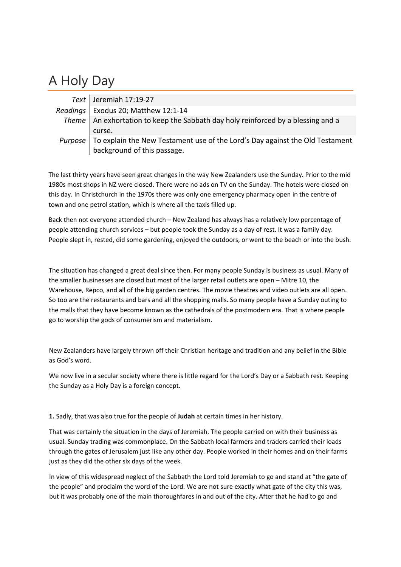## A Holy Day

|         | Text   Jeremiah $17:19-27$                                                         |
|---------|------------------------------------------------------------------------------------|
|         | Readings   Exodus 20; Matthew 12:1-14                                              |
|         | Theme   An exhortation to keep the Sabbath day holy reinforced by a blessing and a |
|         | curse.                                                                             |
| Purpose | To explain the New Testament use of the Lord's Day against the Old Testament       |
|         | background of this passage.                                                        |

The last thirty years have seen great changes in the way New Zealanders use the Sunday. Prior to the mid 1980s most shops in NZ were closed. There were no ads on TV on the Sunday. The hotels were closed on this day. In Christchurch in the 1970s there was only one emergency pharmacy open in the centre of town and one petrol station, which is where all the taxis filled up.

Back then not everyone attended church – New Zealand has always has a relatively low percentage of people attending church services – but people took the Sunday as a day of rest. It was a family day. People slept in, rested, did some gardening, enjoyed the outdoors, or went to the beach or into the bush.

The situation has changed a great deal since then. For many people Sunday is business as usual. Many of the smaller businesses are closed but most of the larger retail outlets are open – Mitre 10, the Warehouse, Repco, and all of the big garden centres. The movie theatres and video outlets are all open. So too are the restaurants and bars and all the shopping malls. So many people have a Sunday outing to the malls that they have become known as the cathedrals of the postmodern era. That is where people go to worship the gods of consumerism and materialism.

New Zealanders have largely thrown off their Christian heritage and tradition and any belief in the Bible as God's word.

We now live in a secular society where there is little regard for the Lord's Day or a Sabbath rest. Keeping the Sunday as a Holy Day is a foreign concept.

**1.** Sadly, that was also true for the people of **Judah** at certain times in her history.

That was certainly the situation in the days of Jeremiah. The people carried on with their business as usual. Sunday trading was commonplace. On the Sabbath local farmers and traders carried their loads through the gates of Jerusalem just like any other day. People worked in their homes and on their farms just as they did the other six days of the week.

In view of this widespread neglect of the Sabbath the Lord told Jeremiah to go and stand at "the gate of the people" and proclaim the word of the Lord. We are not sure exactly what gate of the city this was, but it was probably one of the main thoroughfares in and out of the city. After that he had to go and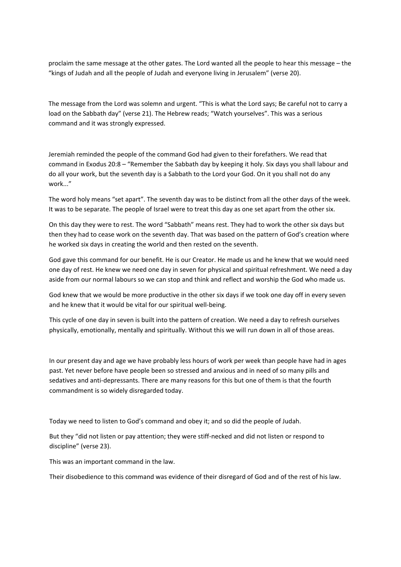proclaim the same message at the other gates. The Lord wanted all the people to hear this message – the "kings of Judah and all the people of Judah and everyone living in Jerusalem" (verse 20).

The message from the Lord was solemn and urgent. "This is what the Lord says; Be careful not to carry a load on the Sabbath day" (verse 21). The Hebrew reads; "Watch yourselves". This was a serious command and it was strongly expressed.

Jeremiah reminded the people of the command God had given to their forefathers. We read that command in Exodus 20:8 – "Remember the Sabbath day by keeping it holy. Six days you shall labour and do all your work, but the seventh day is a Sabbath to the Lord your God. On it you shall not do any work."

The word holy means "set apart". The seventh day was to be distinct from all the other days of the week. It was to be separate. The people of Israel were to treat this day as one set apart from the other six.

On this day they were to rest. The word "Sabbath" means rest. They had to work the other six days but then they had to cease work on the seventh day. That was based on the pattern of God's creation where he worked six days in creating the world and then rested on the seventh.

God gave this command for our benefit. He is our Creator. He made us and he knew that we would need one day of rest. He knew we need one day in seven for physical and spiritual refreshment. We need a day aside from our normal labours so we can stop and think and reflect and worship the God who made us.

God knew that we would be more productive in the other six days if we took one day off in every seven and he knew that it would be vital for our spiritual well‐being.

This cycle of one day in seven is built into the pattern of creation. We need a day to refresh ourselves physically, emotionally, mentally and spiritually. Without this we will run down in all of those areas.

In our present day and age we have probably less hours of work per week than people have had in ages past. Yet never before have people been so stressed and anxious and in need of so many pills and sedatives and anti-depressants. There are many reasons for this but one of them is that the fourth commandment is so widely disregarded today.

Today we need to listen to God's command and obey it; and so did the people of Judah.

But they "did not listen or pay attention; they were stiff-necked and did not listen or respond to discipline" (verse 23).

This was an important command in the law.

Their disobedience to this command was evidence of their disregard of God and of the rest of his law.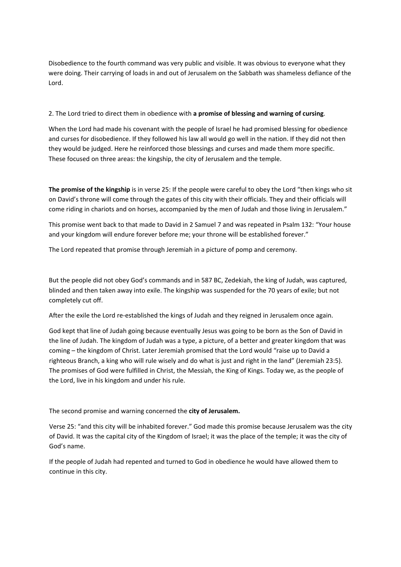Disobedience to the fourth command was very public and visible. It was obvious to everyone what they were doing. Their carrying of loads in and out of Jerusalem on the Sabbath was shameless defiance of the Lord.

## 2. The Lord tried to direct them in obedience with **a promise of blessing and warning of cursing**.

When the Lord had made his covenant with the people of Israel he had promised blessing for obedience and curses for disobedience. If they followed his law all would go well in the nation. If they did not then they would be judged. Here he reinforced those blessings and curses and made them more specific. These focused on three areas: the kingship, the city of Jerusalem and the temple.

**The promise of the kingship** is in verse 25: If the people were careful to obey the Lord "then kings who sit on David's throne will come through the gates of this city with their officials. They and their officials will come riding in chariots and on horses, accompanied by the men of Judah and those living in Jerusalem."

This promise went back to that made to David in 2 Samuel 7 and was repeated in Psalm 132: "Your house and your kingdom will endure forever before me; your throne will be established forever."

The Lord repeated that promise through Jeremiah in a picture of pomp and ceremony.

But the people did not obey God's commands and in 587 BC, Zedekiah, the king of Judah, was captured, blinded and then taken away into exile. The kingship was suspended for the 70 years of exile; but not completely cut off.

After the exile the Lord re‐established the kings of Judah and they reigned in Jerusalem once again.

God kept that line of Judah going because eventually Jesus was going to be born as the Son of David in the line of Judah. The kingdom of Judah was a type, a picture, of a better and greater kingdom that was coming – the kingdom of Christ. Later Jeremiah promised that the Lord would "raise up to David a righteous Branch, a king who will rule wisely and do what is just and right in the land" (Jeremiah 23:5). The promises of God were fulfilled in Christ, the Messiah, the King of Kings. Today we, as the people of the Lord, live in his kingdom and under his rule.

The second promise and warning concerned the **city of Jerusalem.**

Verse 25: "and this city will be inhabited forever." God made this promise because Jerusalem was the city of David. It was the capital city of the Kingdom of Israel; it was the place of the temple; it was the city of God's name.

If the people of Judah had repented and turned to God in obedience he would have allowed them to continue in this city.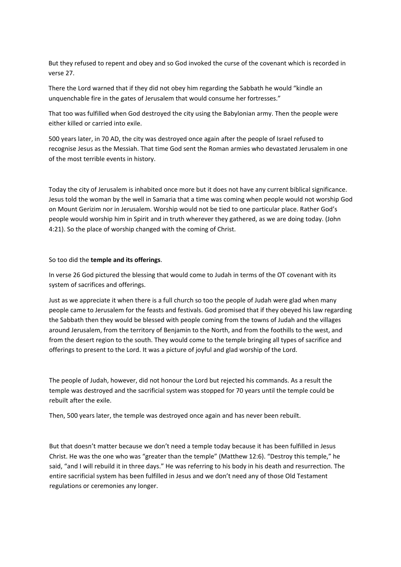But they refused to repent and obey and so God invoked the curse of the covenant which is recorded in verse 27.

There the Lord warned that if they did not obey him regarding the Sabbath he would "kindle an unquenchable fire in the gates of Jerusalem that would consume her fortresses."

That too was fulfilled when God destroyed the city using the Babylonian army. Then the people were either killed or carried into exile.

500 years later, in 70 AD, the city was destroyed once again after the people of Israel refused to recognise Jesus as the Messiah. That time God sent the Roman armies who devastated Jerusalem in one of the most terrible events in history.

Today the city of Jerusalem is inhabited once more but it does not have any current biblical significance. Jesus told the woman by the well in Samaria that a time was coming when people would not worship God on Mount Gerizim nor in Jerusalem. Worship would not be tied to one particular place. Rather God's people would worship him in Spirit and in truth wherever they gathered, as we are doing today. (John 4:21). So the place of worship changed with the coming of Christ.

So too did the **temple and its offerings**.

In verse 26 God pictured the blessing that would come to Judah in terms of the OT covenant with its system of sacrifices and offerings.

Just as we appreciate it when there is a full church so too the people of Judah were glad when many people came to Jerusalem for the feasts and festivals. God promised that if they obeyed his law regarding the Sabbath then they would be blessed with people coming from the towns of Judah and the villages around Jerusalem, from the territory of Benjamin to the North, and from the foothills to the west, and from the desert region to the south. They would come to the temple bringing all types of sacrifice and offerings to present to the Lord. It was a picture of joyful and glad worship of the Lord.

The people of Judah, however, did not honour the Lord but rejected his commands. As a result the temple was destroyed and the sacrificial system was stopped for 70 years until the temple could be rebuilt after the exile.

Then, 500 years later, the temple was destroyed once again and has never been rebuilt.

But that doesn't matter because we don't need a temple today because it has been fulfilled in Jesus Christ. He was the one who was "greater than the temple" (Matthew 12:6). "Destroy this temple," he said, "and I will rebuild it in three days." He was referring to his body in his death and resurrection. The entire sacrificial system has been fulfilled in Jesus and we don't need any of those Old Testament regulations or ceremonies any longer.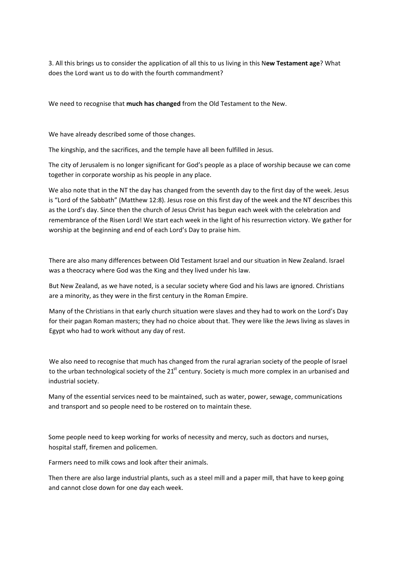3. All this brings us to consider the application of all this to us living in this N**ew Testament age**? What does the Lord want us to do with the fourth commandment?

We need to recognise that **much has changed** from the Old Testament to the New.

We have already described some of those changes.

The kingship, and the sacrifices, and the temple have all been fulfilled in Jesus.

The city of Jerusalem is no longer significant for God's people as a place of worship because we can come together in corporate worship as his people in any place.

We also note that in the NT the day has changed from the seventh day to the first day of the week. Jesus is "Lord of the Sabbath" (Matthew 12:8). Jesus rose on this first day of the week and the NT describes this as the Lord's day. Since then the church of Jesus Christ has begun each week with the celebration and remembrance of the Risen Lord! We start each week in the light of his resurrection victory. We gather for worship at the beginning and end of each Lord's Day to praise him.

There are also many differences between Old Testament Israel and our situation in New Zealand. Israel was a theocracy where God was the King and they lived under his law.

But New Zealand, as we have noted, is a secular society where God and his laws are ignored. Christians are a minority, as they were in the first century in the Roman Empire.

Many of the Christians in that early church situation were slaves and they had to work on the Lord's Day for their pagan Roman masters; they had no choice about that. They were like the Jews living as slaves in Egypt who had to work without any day of rest.

We also need to recognise that much has changed from the rural agrarian society of the people of Israel to the urban technological society of the  $21<sup>st</sup>$  century. Society is much more complex in an urbanised and industrial society.

Many of the essential services need to be maintained, such as water, power, sewage, communications and transport and so people need to be rostered on to maintain these.

Some people need to keep working for works of necessity and mercy, such as doctors and nurses, hospital staff, firemen and policemen.

Farmers need to milk cows and look after their animals.

Then there are also large industrial plants, such as a steel mill and a paper mill, that have to keep going and cannot close down for one day each week.